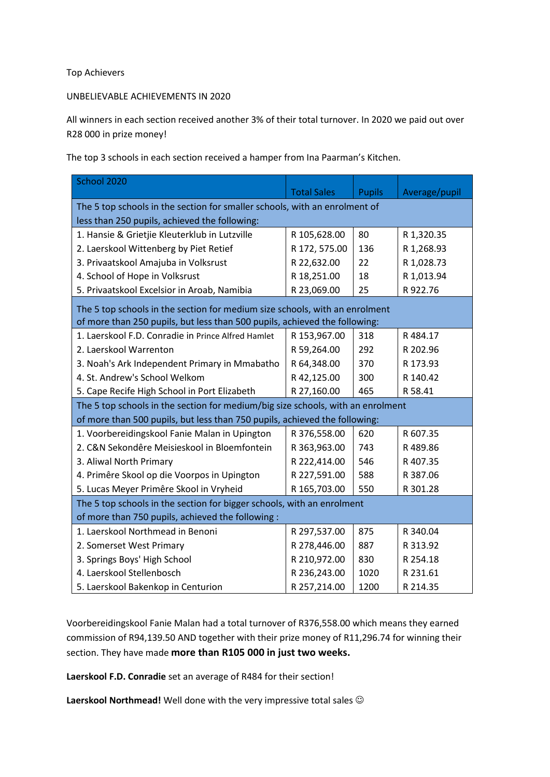## Top Achievers

## UNBELIEVABLE ACHIEVEMENTS IN 2020

All winners in each section received another 3% of their total turnover. In 2020 we paid out over R28 000 in prize money!

The top 3 schools in each section received a hamper from Ina Paarman's Kitchen.

| School 2020                                                                     |                    |               |               |
|---------------------------------------------------------------------------------|--------------------|---------------|---------------|
|                                                                                 | <b>Total Sales</b> | <b>Pupils</b> | Average/pupil |
| The 5 top schools in the section for smaller schools, with an enrolment of      |                    |               |               |
| less than 250 pupils, achieved the following:                                   |                    |               |               |
| 1. Hansie & Grietjie Kleuterklub in Lutzville                                   | R 105,628.00       | 80            | R 1,320.35    |
| 2. Laerskool Wittenberg by Piet Retief                                          | R 172, 575.00      | 136           | R 1,268.93    |
| 3. Privaatskool Amajuba in Volksrust                                            | R 22,632.00        | 22            | R 1,028.73    |
| 4. School of Hope in Volksrust                                                  | R 18,251.00        | 18            | R 1,013.94    |
| 5. Privaatskool Excelsior in Aroab, Namibia                                     | R 23,069.00        | 25            | R 922.76      |
| The 5 top schools in the section for medium size schools, with an enrolment     |                    |               |               |
| of more than 250 pupils, but less than 500 pupils, achieved the following:      |                    |               |               |
| 1. Laerskool F.D. Conradie in Prince Alfred Hamlet                              | R 153,967.00       | 318           | R484.17       |
| 2. Laerskool Warrenton                                                          | R 59,264.00        | 292           | R 202.96      |
| 3. Noah's Ark Independent Primary in Mmabatho                                   | R 64,348.00        | 370           | R 173.93      |
| 4. St. Andrew's School Welkom                                                   | R 42,125.00        | 300           | R 140.42      |
| 5. Cape Recife High School in Port Elizabeth                                    | R 27,160.00        | 465           | R 58.41       |
| The 5 top schools in the section for medium/big size schools, with an enrolment |                    |               |               |
| of more than 500 pupils, but less than 750 pupils, achieved the following:      |                    |               |               |
| 1. Voorbereidingskool Fanie Malan in Upington                                   | R 376,558.00       | 620           | R 607.35      |
| 2. C&N Sekondêre Meisieskool in Bloemfontein                                    | R 363,963.00       | 743           | R489.86       |
| 3. Aliwal North Primary                                                         | R 222,414.00       | 546           | R 407.35      |
| 4. Primêre Skool op die Voorpos in Upington                                     | R 227,591.00       | 588           | R 387.06      |
| 5. Lucas Meyer Primêre Skool in Vryheid                                         | R 165,703.00       | 550           | R 301.28      |
| The 5 top schools in the section for bigger schools, with an enrolment          |                    |               |               |
| of more than 750 pupils, achieved the following:                                |                    |               |               |
| 1. Laerskool Northmead in Benoni                                                | R 297,537.00       | 875           | R 340.04      |
| 2. Somerset West Primary                                                        | R 278,446.00       | 887           | R 313.92      |
| 3. Springs Boys' High School                                                    | R 210,972.00       | 830           | R 254.18      |
| 4. Laerskool Stellenbosch                                                       | R 236,243.00       | 1020          | R 231.61      |
| 5. Laerskool Bakenkop in Centurion                                              | R 257,214.00       | 1200          | R 214.35      |

Voorbereidingskool Fanie Malan had a total turnover of R376,558.00 which means they earned commission of R94,139.50 AND together with their prize money of R11,296.74 for winning their section. They have made **more than R105 000 in just two weeks.**

**Laerskool F.D. Conradie** set an average of R484 for their section!

Laerskool Northmead! Well done with the very impressive total sales  $\odot$